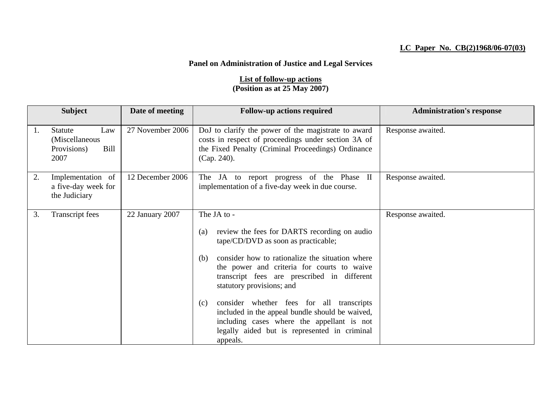## **LC Paper No. CB(2)1968/06-07(03)**

## **Panel on Administration of Justice and Legal Services**

## **List of follow-up actions (Position as at 25 May 2007)**

|    | <b>Subject</b>                                                  | Date of meeting  | <b>Follow-up actions required</b>                                                                                                                                                                                                                                                                                                                                                                                                                                                                              | <b>Administration's response</b> |
|----|-----------------------------------------------------------------|------------------|----------------------------------------------------------------------------------------------------------------------------------------------------------------------------------------------------------------------------------------------------------------------------------------------------------------------------------------------------------------------------------------------------------------------------------------------------------------------------------------------------------------|----------------------------------|
| 1. | Statute<br>Law<br>(Miscellaneous<br>Bill<br>Provisions)<br>2007 | 27 November 2006 | DoJ to clarify the power of the magistrate to award<br>costs in respect of proceedings under section 3A of<br>the Fixed Penalty (Criminal Proceedings) Ordinance<br>$(Cap. 240)$ .                                                                                                                                                                                                                                                                                                                             | Response awaited.                |
| 2. | Implementation of<br>a five-day week for<br>the Judiciary       | 12 December 2006 | The JA to report progress of the Phase II<br>implementation of a five-day week in due course.                                                                                                                                                                                                                                                                                                                                                                                                                  | Response awaited.                |
| 3. | Transcript fees                                                 | 22 January 2007  | The JA to -<br>review the fees for DARTS recording on audio<br>(a)<br>tape/CD/DVD as soon as practicable;<br>consider how to rationalize the situation where<br>(b)<br>the power and criteria for courts to waive<br>transcript fees are prescribed in different<br>statutory provisions; and<br>consider whether fees for all transcripts<br>(c)<br>included in the appeal bundle should be waived,<br>including cases where the appellant is not<br>legally aided but is represented in criminal<br>appeals. | Response awaited.                |